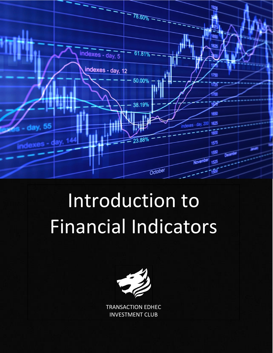

# Introduction to Financial Indicators



TRANSACTION EDHEC INVESTMENT CLUB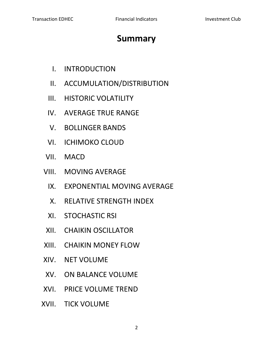# **Summary**

- I. INTRODUCTION
- II. ACCUMULATION/DISTRIBUTION
- III. HISTORIC VOLATILITY
- IV. AVERAGE TRUE RANGE
- V. BOLLINGER BANDS
- VI. ICHIMOKO CLOUD
- VII. MACD
- VIII. MOVING AVERAGE
	- IX. EXPONENTIAL MOVING AVERAGE
	- X. RELATIVE STRENGTH INDEX
	- XI. STOCHASTIC RSI
- XII. CHAIKIN OSCILLATOR
- XIII. CHAIKIN MONEY FLOW
- XIV. NET VOLUME
- XV. ON BALANCE VOLUME
- XVI. PRICE VOLUME TREND
- XVII. TICK VOLUME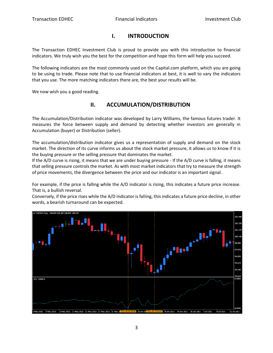#### **I. INTRODUCTION**

The Transaction EDHEC Investment Club is proud to provide you with this introduction to financial indicators. We truly wish you the best for the competition and hope this form will help you succeed.

The following indicators are the most commonly used on the Capital.com platform, which you are going to be using to trade. Please note that to use financial indicators at best, it is well to vary the indicators that you use. The more matching indicators there are, the best your results will be.

We now wish you a good reading.

# **II. ACCUMULATION/DISTRIBUTION**

The Accumulation/Distribution indicator was developed by Larry Williams, the famous futures trader. It measures the force between supply and demand by detecting whether investors are generally in Accumulation (buyer) or Distribution (seller).

The accumulation/distribution indicator gives us a representation of supply and demand on the stock market. The direction of its curve informs us about the stock market pressure, it allows us to know if it is the buying pressure or the selling pressure that dominates the market.

If the A/D curve is rising, it means that we are under buying pressure - If the A/D curve is falling, it means that selling pressure controls the market. As with most market indicators that try to measure the strength of price movements, the divergence between the price and our indicator is an important signal.

For example, if the price is falling while the A/D indicator is rising, this indicates a future price increase. That is, a bullish reversal.

Conversely, if the price rises while the A/D indicator is falling, this indicates a future price decline, in other words, a bearish turnaround can be expected.

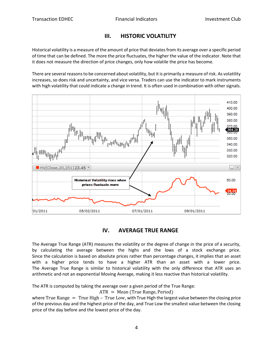#### **III. HISTORIC VOLATILITY**

Historical volatility is a measure of the amount of price that deviates from its average over a specific period of time that can be defined. The more the price fluctuates, the higher the value of the indicator. Note that it does not measure the direction of price changes, only how volatile the price has become.

There are several reasons to be concerned about volatility, but it is primarily a measure of risk. As volatility increases, so does risk and uncertainty, and vice versa. Traders can use the indicator to mark instruments with high volatility that could indicate a change in trend. It is often used in combination with other signals.



#### **IV. AVERAGE TRUE RANGE**

The Average True Range (ATR) measures the volatility or the degree of change in the price of a security, by calculating the average between the highs and the lows of a stock exchange price. Since the calculation is based on absolute prices rather than percentage changes, it implies that an asset with a higher price tends to have a higher ATR than an asset with a lower price. The Average True Range is similar to historical volatility with the only difference that ATR uses an arithmetic and not an exponential Moving Average, making it less reactive than historical volatility.

The ATR is computed by taking the average over a given period of the True Range:

ATR = Mean (True Range, Period)

where True Range  $=$  True High - True Low, with True High the largest value between the closing price of the previous day and the highest price of the day, and True Low the smallest value between the closing price of the day before and the lowest price of the day.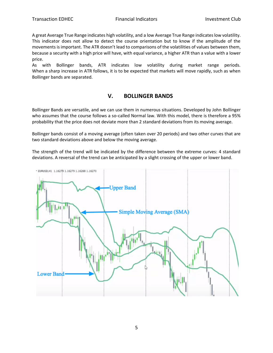A great Average True Range indicates high volatility, and a low Average True Range indicates low volatility. This indicator does not allow to detect the course orientation but to know if the amplitude of the movements is important. The ATR doesn't lead to comparisons of the volatilities of values between them, because a security with a high price will have, with equal variance, a higher ATR than a value with a lower price.

As with Bollinger bands, ATR indicates low volatility during market range periods. When a sharp increase in ATR follows, it is to be expected that markets will move rapidly, such as when Bollinger bands are separated.

#### **V. BOLLINGER BANDS**

Bollinger Bands are versatile, and we can use them in numerous situations. Developed by John Bollinger who assumes that the course follows a so-called Normal law. With this model, there is therefore a 95% probability that the price does not deviate more than 2 standard deviations from its moving average.

Bollinger bands consist of a moving average (often taken over 20 periods) and two other curves that are two standard deviations above and below the moving average.

The strength of the trend will be indicated by the difference between the extreme curves: 4 standard deviations. A reversal of the trend can be anticipated by a slight crossing of the upper or lower band.

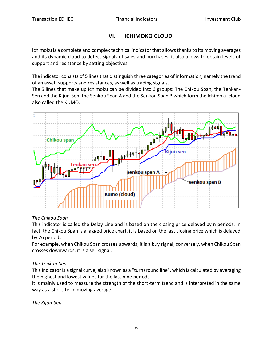# **VI. ICHIMOKO CLOUD**

Ichimoku is a complete and complex technical indicator that allows thanks to its moving averages and its dynamic cloud to detect signals of sales and purchases, it also allows to obtain levels of support and resistance by setting objectives.

The indicator consists of 5 lines that distinguish three categories of information, namely the trend of an asset, supports and resistances, as well as trading signals.

The 5 lines that make up Ichimoku can be divided into 3 groups: The Chikou Span, the Tenkan-Sen and the Kijun-Sen, the Senkou Span A and the Senkou Span B which form the Ichimoku cloud also called the KUMO.



# *The Chikou Span*

This indicator is called the Delay Line and is based on the closing price delayed by n periods. In fact, the Chikou Span is a lagged price chart, it is based on the last closing price which is delayed by 26 periods.

For example, when Chikou Span crosses upwards, it is a buy signal; conversely, when Chikou Span crosses downwards, it is a sell signal.

# *The Tenkan-Sen*

This indicator is a signal curve, also known as a "turnaround line", which is calculated by averaging the highest and lowest values for the last nine periods.

It is mainly used to measure the strength of the short-term trend and is interpreted in the same way as a short-term moving average.

*The Kijun-Sen*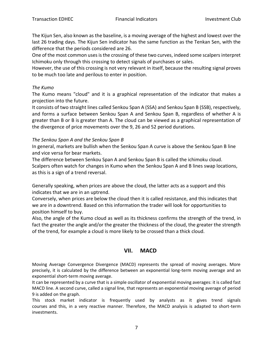The Kijun Sen, also known as the baseline, is a moving average of the highest and lowest over the last 26 trading days. The Kijun Sen indicator has the same function as the Tenkan Sen, with the difference that the periods considered are 26.

One of the most common uses is the crossing of these two curves, indeed some scalpers interpret Ichimoku only through this crossing to detect signals of purchases or sales.

However, the use of this crossing is not very relevant in itself, because the resulting signal proves to be much too late and perilous to enter in position.

#### *The Kumo*

The Kumo means "cloud" and it is a graphical representation of the indicator that makes a projection into the future.

It consists of two straight lines called Senkou Span A (SSA) and Senkou Span B (SSB), respectively, and forms a surface between Senkou Span A and Senkou Span B, regardless of whether A is greater than B or B is greater than A. The cloud can be viewed as a graphical representation of the divergence of price movements over the 9, 26 and 52 period durations.

#### *The Senkou Span A and the Senkou Span B*

In general, markets are bullish when the Senkou Span A curve is above the Senkou Span B line and vice versa for bear markets.

The difference between Senkou Span A and Senkou Span B is called the ichimoku cloud. Scalpers often watch for changes in Kumo when the Senkou Span A and B lines swap locations, as this is a sign of a trend reversal.

Generally speaking, when prices are above the cloud, the latter acts as a support and this indicates that we are in an uptrend.

Conversely, when prices are below the cloud then it is called resistance, and this indicates that we are in a downtrend. Based on this information the trader will look for opportunities to position himself to buy.

Also, the angle of the Kumo cloud as well as its thickness confirms the strength of the trend, in fact the greater the angle and/or the greater the thickness of the cloud, the greater the strength of the trend, for example a cloud is more likely to be crossed than a thick cloud.

# **VII. MACD**

Moving Average Convergence Divergence (MACD) represents the spread of moving averages. More precisely, it is calculated by the difference between an exponential long-term moving average and an exponential short-term moving average.

It can be represented by a curve that is a simple oscillator of exponential moving averages: it is called fast MACD line. A second curve, called a signal line, that represents an exponential moving average of period 9 is added on the graph.

This stock market indicator is frequently used by analysts as it gives trend signals courses and this, in a very reactive manner. Therefore, the MACD analysis is adapted to short-term investments.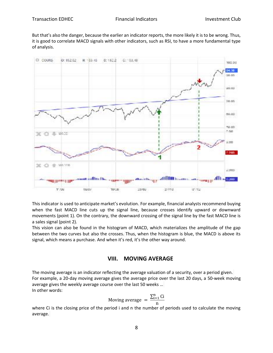But that's also the danger, because the earlier an indicator reports, the more likely it is to be wrong. Thus, it is good to correlate MACD signals with other indicators, such as RSI, to have a more fundamental type of analysis.



This indicator is used to anticipate market's evolution. For example, financial analysts recommend buying when the fast MACD line cuts up the signal line, because crosses identify upward or downward movements (point 1). On the contrary, the downward crossing of the signal line by the fast MACD line is a sales signal (point 2).

This vision can also be found in the histogram of MACD, which materializes the amplitude of the gap between the two curves but also the crosses. Thus, when the histogram is blue, the MACD is above its signal, which means a purchase. And when it's red, it's the other way around.

#### **VIII. MOVING AVERAGE**

The moving average is an indicator reflecting the average valuation of a security, over a period given. For example, a 20-day moving average gives the average price over the last 20 days, a 50-week moving average gives the weekly average course over the last 50 weeks … In other words:

Moving average 
$$
= \frac{\sum_{i=1}^{n} Ci}{n}
$$

where Ci is the closing price of the period i and n the number of periods used to calculate the moving average.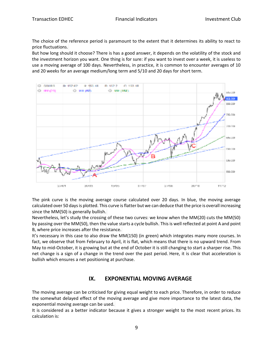The choice of the reference period is paramount to the extent that it determines its ability to react to price fluctuations.

But how long should it choose? There is has a good answer, it depends on the volatility of the stock and the investment horizon you want. One thing is for sure: if you want to invest over a week, it is useless to use a moving average of 100 days. Nevertheless, in practice, it is common to encounter averages of 10 and 20 weeks for an average medium/long term and 5/10 and 20 days for short term.



The pink curve is the moving average course calculated over 20 days. In blue, the moving average calculated over 50 days is plotted. This curve is flatter but we can deduce that the price is overall increasing since the MM(50) is generally bullish.

Nevertheless, let's study the crossing of these two curves: we know when the MM(20) cuts the MM(50) by passing over the MM(50), then the value starts a cycle bullish. This is well reflected at point A and point B, where price increases after the resistance.

It's necessary in this case to also draw the MM(150) (in green) which integrates many more courses. In fact, we observe that from February to April, it is flat, which means that there is no upward trend. From May to mid-October, it is growing but at the end of October it is still changing to start a sharper rise. This net change is a sign of a change in the trend over the past period. Here, it is clear that acceleration is bullish which ensures a net positioning at purchase.

# **IX. EXPONENTIAL MOVING AVERAGE**

The moving average can be criticised for giving equal weight to each price. Therefore, in order to reduce the somewhat delayed effect of the moving average and give more importance to the latest data, the exponential moving average can be used.

It is considered as a better indicator because it gives a stronger weight to the most recent prices. Its calculation is: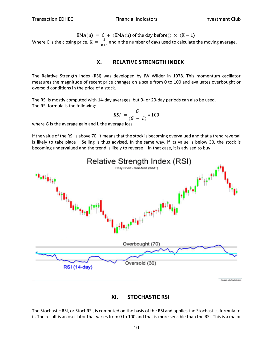EMA(n) = C + (EMA(n) of the day before))  $\times$  (K - 1) Where C is the closing price,  $K = \frac{2}{n+1}$  $\frac{2}{n+1}$  and n the number of days used to calculate the moving average.

#### **X. RELATIVE STRENGTH INDEX**

The Relative Strength Index (RSI) was developed by JW Wilder in 1978. This momentum oscillator measures the magnitude of recent price changes on a scale from 0 to 100 and evaluates overbought or oversold conditions in the price of a stock.

The RSI is mostly computed with 14-day averages, but 9- or 20-day periods can also be used. The RSI formula is the following:

$$
RSI = \frac{G}{(G + L)} * 100
$$

where G is the average gain and L the average loss

If the value of the RSI is above 70, it means that the stock is becoming overvalued and that a trend reversal is likely to take place – Selling is thus advised. In the same way, if its value is below 30, the stock is becoming undervalued and the trend is likely to reverse – In that case, it is advised to buy.





The Stochastic RSI, or StochRSI, is computed on the basis of the RSI and applies the Stochastics formula to it. The result is an oscillator that varies from 0 to 100 and that is more sensible than the RSI. This is a major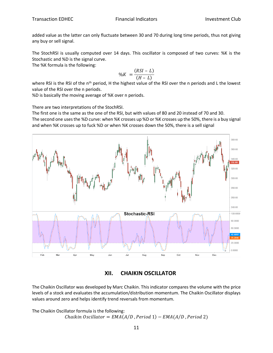added value as the latter can only fluctuate between 30 and 70 during long time periods, thus not giving any buy or sell signal.

The StochRSI is usually computed over 14 days. This oscillator is composed of two curves: %K is the Stochastic and %D is the signal curve.

The %K formula is the following:

$$
\%K = \frac{(RSI - L)}{(H - L)}
$$

where RSI is the RSI of the n<sup>th</sup> period, H the highest value of the RSI over the n periods and L the lowest value of the RSI over the n periods.

%D is basically the moving average of %K over n periods.

There are two interpretations of the StochRSI.

The first one is the same as the one of the RSI, but with values of 80 and 20 instead of 70 and 30. The second one uses the %D curve: when %K crosses up %D or %K crosses up the 50%, there is a buy signal and when %K crosses up to fuck %D or when %K crosses down the 50%, there is a sell signal



**XII. CHAIKIN OSCILLATOR**

The Chaikin Oscillator was developed by Marc Chaikin. This indicator compares the volume with the price levels of a stock and evaluates the accumulation/distribution momentum. The Chaikin Oscillator displays values around zero and helps identify trend reversals from momentum.

The Chaikin Oscillator formula is the following:  $Chaikin Oscillator = EMA(A/D, Period 1) - EMA(A/D, Period 2)$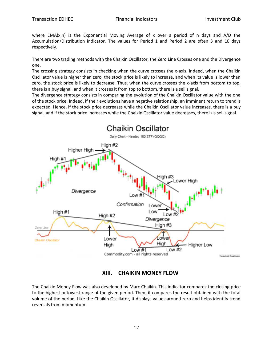where  $EMA(x,n)$  is the Exponential Moving Average of x over a period of n days and  $A/D$  the Accumulation/Distribution indicator. The values for Period 1 and Period 2 are often 3 and 10 days respectively.

There are two trading methods with the Chaikin Oscillator, the Zero Line Crosses one and the Divergence one.

The crossing strategy consists in checking when the curve crosses the x-axis. Indeed, when the Chaikin Oscillator value is higher than zero, the stock price is likely to increase, and when its value is lower than zero, the stock price is likely to decrease. Thus, when the curve crosses the x-axis from bottom to top, there is a buy signal, and when it crosses it from top to bottom, there is a sell signal.

The divergence strategy consists in comparing the evolution of the Chaikin Oscillator value with the one of the stock price. Indeed, if their evolutions have a negative relationship, an imminent return to trend is expected. Hence, if the stock price decreases while the Chaikin Oscillator value increases, there is a buy signal, and if the stock price increases while the Chaikin Oscillator value decreases, there is a sell signal.



**XIII. CHAIKIN MONEY FLOW**

The Chaikin Money Flow was also developed by Marc Chaikin. This indicator compares the closing price to the highest or lowest range of the given period. Then, it compares the result obtained with the total volume of the period. Like the Chaikin Oscillator, it displays values around zero and helps identify trend reversals from momentum.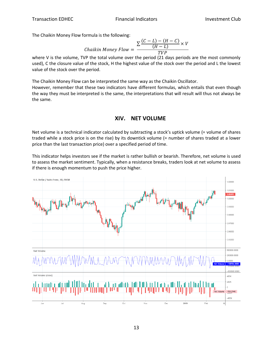The Chaikin Money Flow formula is the following:

$$
Chaikin Money Flow = \frac{\sum \frac{(C-L) - (H-C)}{(H-L)} \times V}{TVP}
$$

where V is the volume, TVP the total volume over the period (21 days periods are the most commonly used), C the closure value of the stock, H the highest value of the stock over the period and L the lowest value of the stock over the period.

The Chaikin Money Flow can be interpreted the same way as the Chaikin Oscillator. However, remember that these two indicators have different formulas, which entails that even though the way they must be interpreted is the same, the interpretations that will result will thus not always be the same.

# **XIV. NET VOLUME**

Net volume is a technical indicator calculated by subtracting a stock's uptick volume (= volume of shares traded while a stock price is on the rise) by its downtick volume (= number of shares traded at a lower price than the last transaction price) over a specified period of time.

This indicator helps investors see if the market is rather bullish or bearish. Therefore, net volume is used to assess the market sentiment. Typically, when a resistance breaks, traders look at net volume to assess if there is enough momentum to push the price higher.

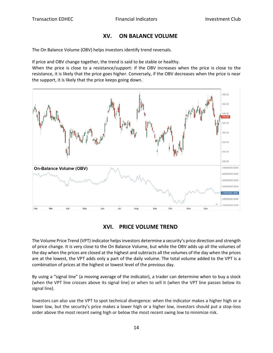#### **XV. ON BALANCE VOLUME**

The On Balance Volume (OBV) helps investors identify trend reversals.

If price and OBV change together, the trend is said to be stable or healthy.

When the price is close to a resistance/support: if the OBV increases when the price is close to the resistance, it is likely that the price goes higher. Conversely, if the OBV decreases when the price is near the support, it is likely that the price keeps going down.



# **XVI. PRICE VOLUME TREND**

The Volume Price Trend (VPT) indicator helps investors determine a security's price direction and strength of price change. It is very close to the On Balance Volume, but while the OBV adds up all the volumes of the day when the prices are closed at the highest and subtracts all the volumes of the day when the prices are at the lowest, the VPT adds only a part of the daily volume. The total volume added to the VPT is a combination of prices at the highest or lowest level of the previous day.

By using a "signal line" (a moving average of the indicator), a trader can determine when to buy a stock (when the VPT line crosses above its signal line) or when to sell it (when the VPT line passes below its signal line).

Investors can also use the VPT to spot technical divergence: when the indicator makes a higher high or a lower low, but the security's price makes a lower high or a higher low, investors should put a stop-loss order above the most recent swing high or below the most recent swing low to minimize risk.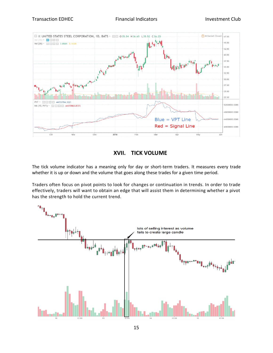

# **XVII. TICK VOLUME**

The tick volume indicator has a meaning only for day or short-term traders. It measures every trade whether it is up or down and the volume that goes along these trades for a given time period.

Traders often focus on pivot points to look for changes or continuation in trends. In order to trade effectively, traders will want to obtain an edge that will assist them in determining whether a pivot has the strength to hold the current trend.